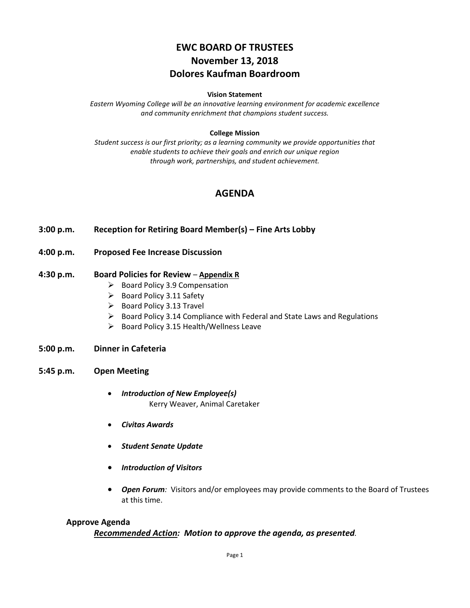# **EWC BOARD OF TRUSTEES November 13, 2018 Dolores Kaufman Boardroom**

#### **Vision Statement**

*Eastern Wyoming College will be an innovative learning environment for academic excellence and community enrichment that champions student success.*

#### **College Mission**

*Student success is our first priority; as a learning community we provide opportunities that enable students to achieve their goals and enrich our unique region through work, partnerships, and student achievement.*

## **AGENDA**

- **3:00 p.m. Reception for Retiring Board Member(s) – Fine Arts Lobby**
- **4:00 p.m. Proposed Fee Increase Discussion**

#### **4:30 p.m. Board Policies for Review** – **Appendix R**

- $\triangleright$  Board Policy 3.9 Compensation
- $\triangleright$  Board Policy 3.11 Safety
- $\triangleright$  Board Policy 3.13 Travel
- $\triangleright$  Board Policy 3.14 Compliance with Federal and State Laws and Regulations
- $\triangleright$  Board Policy 3.15 Health/Wellness Leave

#### **5:00 p.m. Dinner in Cafeteria**

- **5:45 p.m. Open Meeting**
	- *Introduction of New Employee(s)* Kerry Weaver, Animal Caretaker
	- *Civitas Awards*
	- *Student Senate Update*
	- *Introduction of Visitors*
	- *Open Forum:* Visitors and/or employees may provide comments to the Board of Trustees at this time.

#### **Approve Agenda**

## *Recommended Action: Motion to approve the agenda, as presented.*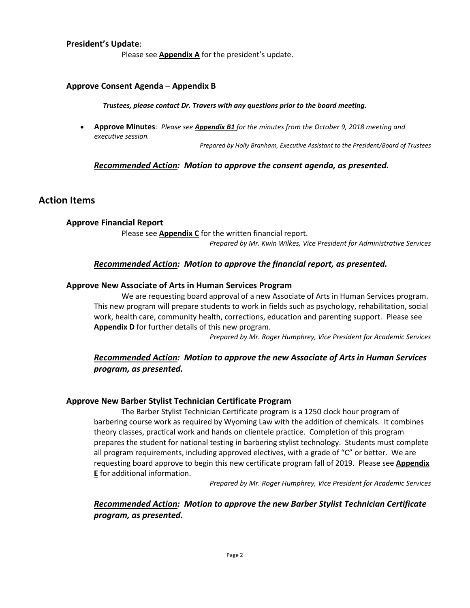## **President's Update**:

Please see **Appendix A** for the president's update.

#### **Approve Consent Agenda** – **Appendix B**

*Trustees, please contact Dr. Travers with any questions prior to the board meeting.*

• **Approve Minutes**: *Please see Appendix B1 for the minutes from the October 9, 2018 meeting and executive session.*

*Prepared by Holly Branham, Executive Assistant to the President/Board of Trustees*

## *Recommended Action: Motion to approve the consent agenda, as presented.*

## **Action Items**

## **Approve Financial Report**

Please see **Appendix C** for the written financial report. *Prepared by Mr. Kwin Wilkes, Vice President for Administrative Services*

## *Recommended Action: Motion to approve the financial report, as presented.*

## **Approve New Associate of Arts in Human Services Program**

We are requesting board approval of a new Associate of Arts in Human Services program. This new program will prepare students to work in fields such as psychology, rehabilitation, social work, health care, community health, corrections, education and parenting support. Please see **Appendix D** for further details of this new program.

*Prepared by Mr. Roger Humphrey, Vice President for Academic Services*

## *Recommended Action: Motion to approve the new Associate of Arts in Human Services program, as presented.*

## **Approve New Barber Stylist Technician Certificate Program**

The Barber Stylist Technician Certificate program is a 1250 clock hour program of barbering course work as required by Wyoming Law with the addition of chemicals. It combines theory classes, practical work and hands on clientele practice. Completion of this program prepares the student for national testing in barbering stylist technology. Students must complete all program requirements, including approved electives, with a grade of "C" or better. We are requesting board approve to begin this new certificate program fall of 2019. Please see **Appendix E** for additional information.

*Prepared by Mr. Roger Humphrey, Vice President for Academic Services*

## *Recommended Action: Motion to approve the new Barber Stylist Technician Certificate program, as presented.*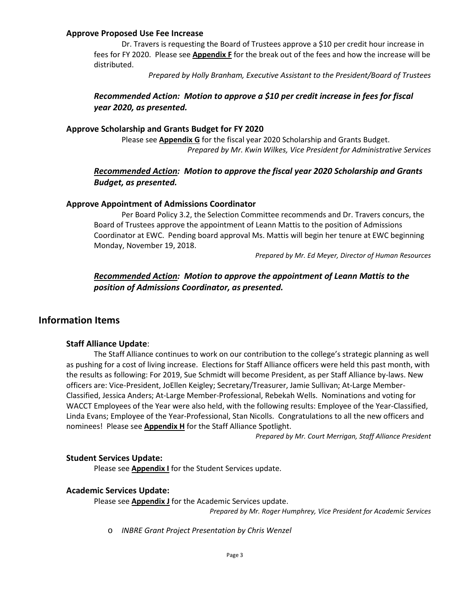## **Approve Proposed Use Fee Increase**

Dr. Travers is requesting the Board of Trustees approve a \$10 per credit hour increase in fees for FY 2020. Please see **Appendix F** for the break out of the fees and how the increase will be distributed.

*Prepared by Holly Branham, Executive Assistant to the President/Board of Trustees*

## *Recommended Action: Motion to approve a \$10 per credit increase in fees for fiscal year 2020, as presented.*

## **Approve Scholarship and Grants Budget for FY 2020**

Please see **Appendix G** for the fiscal year 2020 Scholarship and Grants Budget. *Prepared by Mr. Kwin Wilkes, Vice President for Administrative Services*

## *Recommended Action: Motion to approve the fiscal year 2020 Scholarship and Grants Budget, as presented.*

#### **Approve Appointment of Admissions Coordinator**

Per Board Policy 3.2, the Selection Committee recommends and Dr. Travers concurs, the Board of Trustees approve the appointment of Leann Mattis to the position of Admissions Coordinator at EWC. Pending board approval Ms. Mattis will begin her tenure at EWC beginning Monday, November 19, 2018.

*Prepared by Mr. Ed Meyer, Director of Human Resources*

## *Recommended Action: Motion to approve the appointment of Leann Mattis to the position of Admissions Coordinator, as presented.*

## **Information Items**

## **Staff Alliance Update**:

The Staff Alliance continues to work on our contribution to the college's strategic planning as well as pushing for a cost of living increase. Elections for Staff Alliance officers were held this past month, with the results as following: For 2019, Sue Schmidt will become President, as per Staff Alliance by-laws. New officers are: Vice-President, JoEllen Keigley; Secretary/Treasurer, Jamie Sullivan; At-Large Member-Classified, Jessica Anders; At-Large Member-Professional, Rebekah Wells. Nominations and voting for WACCT Employees of the Year were also held, with the following results: Employee of the Year-Classified, Linda Evans; Employee of the Year-Professional, Stan Nicolls. Congratulations to all the new officers and nominees! Please see **Appendix H** for the Staff Alliance Spotlight.

*Prepared by Mr. Court Merrigan, Staff Alliance President*

## **Student Services Update:**

Please see **Appendix I** for the Student Services update.

#### **Academic Services Update:**

Please see **Appendix J** for the Academic Services update.

*Prepared by Mr. Roger Humphrey, Vice President for Academic Services*

o *INBRE Grant Project Presentation by Chris Wenzel*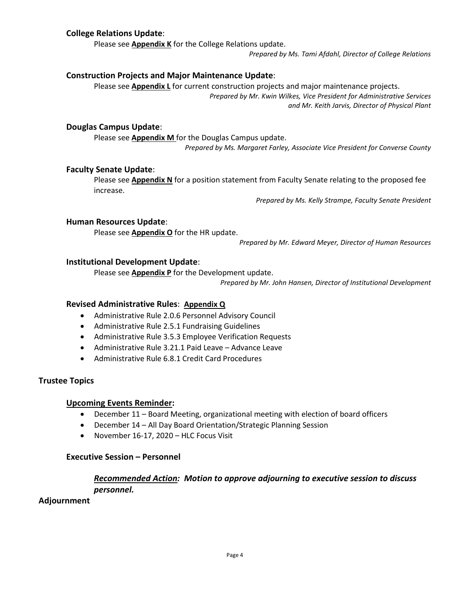## **College Relations Update**:

Please see **Appendix K** for the College Relations update.

*Prepared by Ms. Tami Afdahl, Director of College Relations*

## **Construction Projects and Major Maintenance Update**:

Please see **Appendix L** for current construction projects and major maintenance projects. *Prepared by Mr. Kwin Wilkes, Vice President for Administrative Services and Mr. Keith Jarvis, Director of Physical Plant*

## **Douglas Campus Update**:

Please see **Appendix M** for the Douglas Campus update. *Prepared by Ms. Margaret Farley, Associate Vice President for Converse County*

## **Faculty Senate Update**:

Please see **Appendix N** for a position statement from Faculty Senate relating to the proposed fee increase.

*Prepared by Ms. Kelly Strampe, Faculty Senate President*

## **Human Resources Update**:

Please see **Appendix O** for the HR update.

*Prepared by Mr. Edward Meyer, Director of Human Resources*

## **Institutional Development Update**:

Please see **Appendix P** for the Development update.

*Prepared by Mr. John Hansen, Director of Institutional Development*

## **Revised Administrative Rules**: **Appendix Q**

- Administrative Rule 2.0.6 Personnel Advisory Council
- Administrative Rule 2.5.1 Fundraising Guidelines
- Administrative Rule 3.5.3 Employee Verification Requests
- Administrative Rule 3.21.1 Paid Leave Advance Leave
- Administrative Rule 6.8.1 Credit Card Procedures

#### **Trustee Topics**

#### **Upcoming Events Reminder:**

- December 11 Board Meeting, organizational meeting with election of board officers
- December 14 All Day Board Orientation/Strategic Planning Session
- November 16-17, 2020 HLC Focus Visit

## **Executive Session – Personnel**

## *Recommended Action: Motion to approve adjourning to executive session to discuss personnel.*

## **Adjournment**